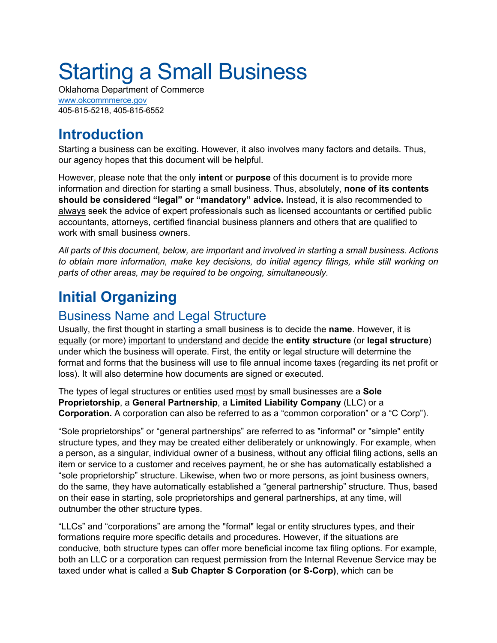# Starting a Small Business

Oklahoma Department of Commerce www.okcommmerce.gov 405-815-5218, 405-815-6552

## **Introduction**

Starting a business can be exciting. However, it also involves many factors and details. Thus, our agency hopes that this document will be helpful.

However, please note that the only **intent** or **purpose** of this document is to provide more information and direction for starting a small business. Thus, absolutely, **none of its contents should be considered "legal" or "mandatory" advice.** Instead, it is also recommended to always seek the advice of expert professionals such as licensed accountants or certified public accountants, attorneys, certified financial business planners and others that are qualified to work with small business owners.

*All parts of this document, below, are important and involved in starting a small business. Actions to obtain more information, make key decisions, do initial agency filings, while still working on parts of other areas, may be required to be ongoing, simultaneously.*

## **Initial Organizing**

#### Business Name and Legal Structure

Usually, the first thought in starting a small business is to decide the **name**. However, it is equally (or more) important to understand and decide the **entity structure** (or **legal structure**) under which the business will operate. First, the entity or legal structure will determine the format and forms that the business will use to file annual income taxes (regarding its net profit or loss). It will also determine how documents are signed or executed.

The types of legal structures or entities used most by small businesses are a **Sole Proprietorship**, a **General Partnership**, a **Limited Liability Company** (LLC) or a **Corporation.** A corporation can also be referred to as a "common corporation" or a "C Corp").

"Sole proprietorships" or "general partnerships" are referred to as "informal" or "simple" entity structure types, and they may be created either deliberately or unknowingly. For example, when a person, as a singular, individual owner of a business, without any official filing actions, sells an item or service to a customer and receives payment, he or she has automatically established a "sole proprietorship" structure. Likewise, when two or more persons, as joint business owners, do the same, they have automatically established a "general partnership" structure. Thus, based on their ease in starting, sole proprietorships and general partnerships, at any time, will outnumber the other structure types.

"LLCs" and "corporations" are among the "formal" legal or entity structures types, and their formations require more specific details and procedures. However, if the situations are conducive, both structure types can offer more beneficial income tax filing options. For example, both an LLC or a corporation can request permission from the Internal Revenue Service may be taxed under what is called a **Sub Chapter S Corporation (or S-Corp)**, which can be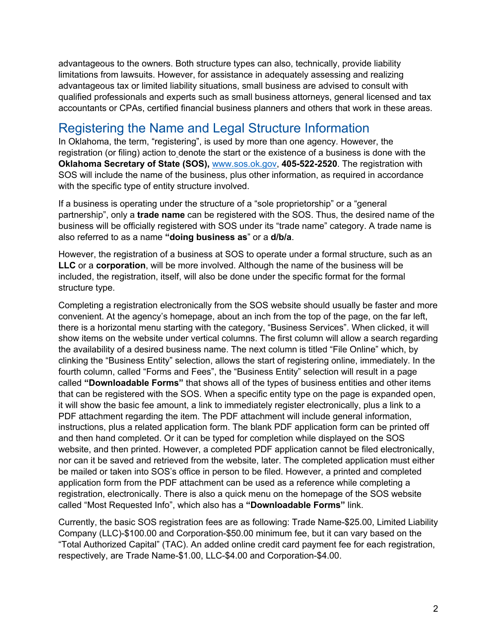advantageous to the owners. Both structure types can also, technically, provide liability limitations from lawsuits. However, for assistance in adequately assessing and realizing advantageous tax or limited liability situations, small business are advised to consult with qualified professionals and experts such as small business attorneys, general licensed and tax accountants or CPAs, certified financial business planners and others that work in these areas.

#### Registering the Name and Legal Structure Information

In Oklahoma, the term, "registering", is used by more than one agency. However, the registration (or filing) action to denote the start or the existence of a business is done with the **Oklahoma Secretary of State (SOS),** www.sos.ok.gov, **405-522-2520**. The registration with SOS will include the name of the business, plus other information, as required in accordance with the specific type of entity structure involved.

If a business is operating under the structure of a "sole proprietorship" or a "general partnership", only a **trade name** can be registered with the SOS. Thus, the desired name of the business will be officially registered with SOS under its "trade name" category. A trade name is also referred to as a name **"doing business as**" or a **d/b/a**.

However, the registration of a business at SOS to operate under a formal structure, such as an **LLC** or a **corporation**, will be more involved. Although the name of the business will be included, the registration, itself, will also be done under the specific format for the formal structure type.

Completing a registration electronically from the SOS website should usually be faster and more convenient. At the agency's homepage, about an inch from the top of the page, on the far left, there is a horizontal menu starting with the category, "Business Services". When clicked, it will show items on the website under vertical columns. The first column will allow a search regarding the availability of a desired business name. The next column is titled "File Online" which, by clinking the "Business Entity" selection, allows the start of registering online, immediately. In the fourth column, called "Forms and Fees", the "Business Entity" selection will result in a page called **"Downloadable Forms"** that shows all of the types of business entities and other items that can be registered with the SOS. When a specific entity type on the page is expanded open, it will show the basic fee amount, a link to immediately register electronically, plus a link to a PDF attachment regarding the item. The PDF attachment will include general information, instructions, plus a related application form. The blank PDF application form can be printed off and then hand completed. Or it can be typed for completion while displayed on the SOS website, and then printed. However, a completed PDF application cannot be filed electronically, nor can it be saved and retrieved from the website, later. The completed application must either be mailed or taken into SOS's office in person to be filed. However, a printed and completed application form from the PDF attachment can be used as a reference while completing a registration, electronically. There is also a quick menu on the homepage of the SOS website called "Most Requested Info", which also has a **"Downloadable Forms"** link.

Currently, the basic SOS registration fees are as following: Trade Name-\$25.00, Limited Liability Company (LLC)-\$100.00 and Corporation-\$50.00 minimum fee, but it can vary based on the "Total Authorized Capital" (TAC). An added online credit card payment fee for each registration, respectively, are Trade Name-\$1.00, LLC-\$4.00 and Corporation-\$4.00.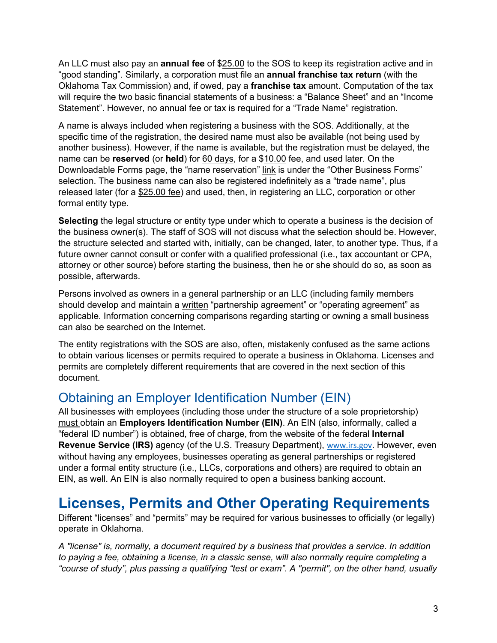An LLC must also pay an **annual fee** of \$25.00 to the SOS to keep its registration active and in "good standing". Similarly, a corporation must file an **annual franchise tax return** (with the Oklahoma Tax Commission) and, if owed, pay a **franchise tax** amount. Computation of the tax will require the two basic financial statements of a business: a "Balance Sheet" and an "Income Statement". However, no annual fee or tax is required for a "Trade Name" registration.

A name is always included when registering a business with the SOS. Additionally, at the specific time of the registration, the desired name must also be available (not being used by another business). However, if the name is available, but the registration must be delayed, the name can be **reserved** (or **held**) for 60 days, for a \$10.00 fee, and used later. On the Downloadable Forms page, the "name reservation" link is under the "Other Business Forms" selection. The business name can also be registered indefinitely as a "trade name", plus released later (for a \$25.00 fee) and used, then, in registering an LLC, corporation or other formal entity type.

**Selecting** the legal structure or entity type under which to operate a business is the decision of the business owner(s). The staff of SOS will not discuss what the selection should be. However, the structure selected and started with, initially, can be changed, later, to another type. Thus, if a future owner cannot consult or confer with a qualified professional (i.e., tax accountant or CPA, attorney or other source) before starting the business, then he or she should do so, as soon as possible, afterwards.

Persons involved as owners in a general partnership or an LLC (including family members should develop and maintain a written "partnership agreement" or "operating agreement" as applicable. Information concerning comparisons regarding starting or owning a small business can also be searched on the Internet.

The entity registrations with the SOS are also, often, mistakenly confused as the same actions to obtain various licenses or permits required to operate a business in Oklahoma. Licenses and permits are completely different requirements that are covered in the next section of this document.

#### Obtaining an Employer Identification Number (EIN)

All businesses with employees (including those under the structure of a sole proprietorship) must obtain an **Employers Identification Number (EIN)**. An EIN (also, informally, called a "federal ID number") is obtained, free of charge, from the website of the federal **Internal Revenue Service (IRS)** agency (of the U.S. Treasury Department), www.irs.gov. However, even without having any employees, businesses operating as general partnerships or registered under a formal entity structure (i.e., LLCs, corporations and others) are required to obtain an EIN, as well. An EIN is also normally required to open a business banking account.

## **Licenses, Permits and Other Operating Requirements**

Different "licenses" and "permits" may be required for various businesses to officially (or legally) operate in Oklahoma.

*A "license" is, normally, a document required by a business that provides a service. In addition to paying a fee, obtaining a license, in a classic sense, will also normally require completing a "course of study", plus passing a qualifying "test or exam". A "permit", on the other hand, usually*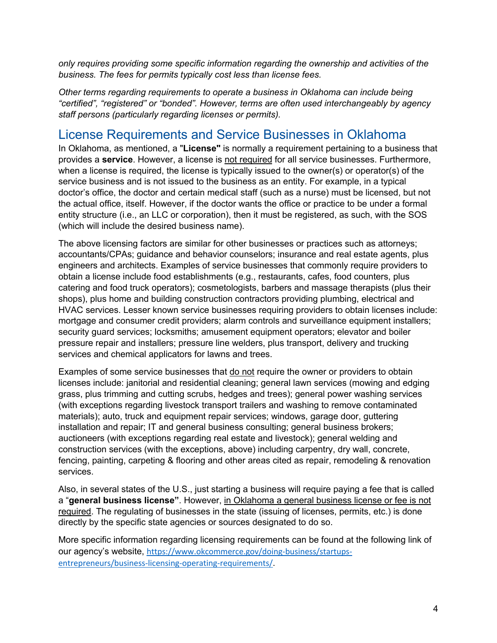*only requires providing some specific information regarding the ownership and activities of the business. The fees for permits typically cost less than license fees.* 

*Other terms regarding requirements to operate a business in Oklahoma can include being "certified", "registered" or "bonded". However, terms are often used interchangeably by agency staff persons (particularly regarding licenses or permits).*

#### License Requirements and Service Businesses in Oklahoma

In Oklahoma, as mentioned, a "**License"** is normally a requirement pertaining to a business that provides a **service**. However, a license is not required for all service businesses. Furthermore, when a license is required, the license is typically issued to the owner(s) or operator(s) of the service business and is not issued to the business as an entity. For example, in a typical doctor's office, the doctor and certain medical staff (such as a nurse) must be licensed, but not the actual office, itself. However, if the doctor wants the office or practice to be under a formal entity structure (i.e., an LLC or corporation), then it must be registered, as such, with the SOS (which will include the desired business name).

The above licensing factors are similar for other businesses or practices such as attorneys; accountants/CPAs; guidance and behavior counselors; insurance and real estate agents, plus engineers and architects. Examples of service businesses that commonly require providers to obtain a license include food establishments (e.g., restaurants, cafes, food counters, plus catering and food truck operators); cosmetologists, barbers and massage therapists (plus their shops), plus home and building construction contractors providing plumbing, electrical and HVAC services. Lesser known service businesses requiring providers to obtain licenses include: mortgage and consumer credit providers; alarm controls and surveillance equipment installers; security guard services; locksmiths; amusement equipment operators; elevator and boiler pressure repair and installers; pressure line welders, plus transport, delivery and trucking services and chemical applicators for lawns and trees.

Examples of some service businesses that do not require the owner or providers to obtain licenses include: janitorial and residential cleaning; general lawn services (mowing and edging grass, plus trimming and cutting scrubs, hedges and trees); general power washing services (with exceptions regarding livestock transport trailers and washing to remove contaminated materials); auto, truck and equipment repair services; windows, garage door, guttering installation and repair; IT and general business consulting; general business brokers; auctioneers (with exceptions regarding real estate and livestock); general welding and construction services (with the exceptions, above) including carpentry, dry wall, concrete, fencing, painting, carpeting & flooring and other areas cited as repair, remodeling & renovation services.

Also, in several states of the U.S., just starting a business will require paying a fee that is called a "**general business license"**. However, in Oklahoma a general business license or fee is not required. The regulating of businesses in the state (issuing of licenses, permits, etc.) is done directly by the specific state agencies or sources designated to do so.

More specific information regarding licensing requirements can be found at the following link of our agency's website, https://www.okcommerce.gov/doing-business/startupsentrepreneurs/business-licensing-operating-requirements/.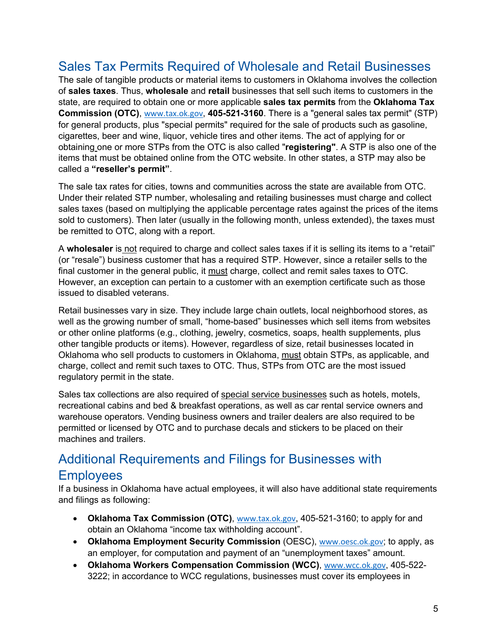#### Sales Tax Permits Required of Wholesale and Retail Businesses

The sale of tangible products or material items to customers in Oklahoma involves the collection of **sales taxes**. Thus, **wholesale** and **retail** businesses that sell such items to customers in the state, are required to obtain one or more applicable **sales tax permits** from the **Oklahoma Tax Commission (OTC)**, www.tax.ok.gov, **405-521-3160**. There is a "general sales tax permit" (STP) for general products, plus "special permits" required for the sale of products such as gasoline, cigarettes, beer and wine, liquor, vehicle tires and other items. The act of applying for or obtaining one or more STPs from the OTC is also called "**registering"**. A STP is also one of the items that must be obtained online from the OTC website. In other states, a STP may also be called a **"reseller's permit"**.

The sale tax rates for cities, towns and communities across the state are available from OTC. Under their related STP number, wholesaling and retailing businesses must charge and collect sales taxes (based on multiplying the applicable percentage rates against the prices of the items sold to customers). Then later (usually in the following month, unless extended), the taxes must be remitted to OTC, along with a report.

A **wholesaler** is not required to charge and collect sales taxes if it is selling its items to a "retail" (or "resale") business customer that has a required STP. However, since a retailer sells to the final customer in the general public, it must charge, collect and remit sales taxes to OTC. However, an exception can pertain to a customer with an exemption certificate such as those issued to disabled veterans.

Retail businesses vary in size. They include large chain outlets, local neighborhood stores, as well as the growing number of small, "home-based" businesses which sell items from websites or other online platforms (e.g., clothing, jewelry, cosmetics, soaps, health supplements, plus other tangible products or items). However, regardless of size, retail businesses located in Oklahoma who sell products to customers in Oklahoma, must obtain STPs, as applicable, and charge, collect and remit such taxes to OTC. Thus, STPs from OTC are the most issued regulatory permit in the state.

Sales tax collections are also required of special service businesses such as hotels, motels, recreational cabins and bed & breakfast operations, as well as car rental service owners and warehouse operators. Vending business owners and trailer dealers are also required to be permitted or licensed by OTC and to purchase decals and stickers to be placed on their machines and trailers.

#### Additional Requirements and Filings for Businesses with **Employees**

If a business in Oklahoma have actual employees, it will also have additional state requirements and filings as following:

- **Oklahoma Tax Commission (OTC)**, www.tax.ok.gov, 405-521-3160; to apply for and obtain an Oklahoma "income tax withholding account".
- **Oklahoma Employment Security Commission** (OESC), www.oesc.ok.gov; to apply, as an employer, for computation and payment of an "unemployment taxes" amount.
- **Oklahoma Workers Compensation Commission (WCC)**, www.wcc.ok.gov, 405-522- 3222; in accordance to WCC regulations, businesses must cover its employees in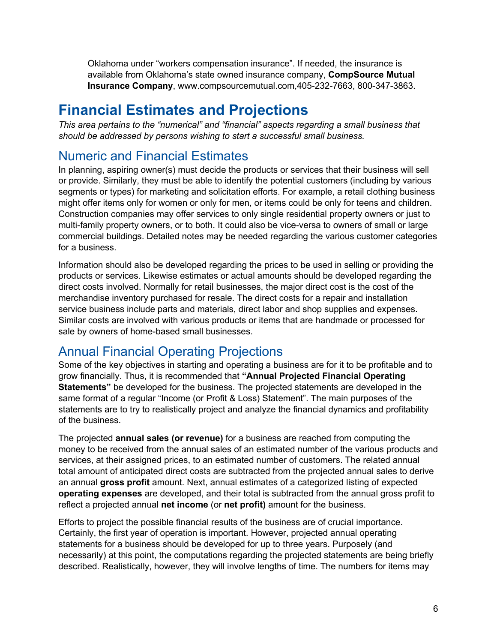Oklahoma under "workers compensation insurance". If needed, the insurance is available from Oklahoma's state owned insurance company, **CompSource Mutual Insurance Company**, www.compsourcemutual.com,405-232-7663, 800-347-3863.

## **Financial Estimates and Projections**

*This area pertains to the "numerical" and "financial" aspects regarding a small business that should be addressed by persons wishing to start a successful small business.* 

#### Numeric and Financial Estimates

In planning, aspiring owner(s) must decide the products or services that their business will sell or provide. Similarly, they must be able to identify the potential customers (including by various segments or types) for marketing and solicitation efforts. For example, a retail clothing business might offer items only for women or only for men, or items could be only for teens and children. Construction companies may offer services to only single residential property owners or just to multi-family property owners, or to both. It could also be vice-versa to owners of small or large commercial buildings. Detailed notes may be needed regarding the various customer categories for a business.

Information should also be developed regarding the prices to be used in selling or providing the products or services. Likewise estimates or actual amounts should be developed regarding the direct costs involved. Normally for retail businesses, the major direct cost is the cost of the merchandise inventory purchased for resale. The direct costs for a repair and installation service business include parts and materials, direct labor and shop supplies and expenses. Similar costs are involved with various products or items that are handmade or processed for sale by owners of home-based small businesses.

#### Annual Financial Operating Projections

Some of the key objectives in starting and operating a business are for it to be profitable and to grow financially. Thus, it is recommended that **"Annual Projected Financial Operating Statements"** be developed for the business. The projected statements are developed in the same format of a regular "Income (or Profit & Loss) Statement". The main purposes of the statements are to try to realistically project and analyze the financial dynamics and profitability of the business.

The projected **annual sales (or revenue)** for a business are reached from computing the money to be received from the annual sales of an estimated number of the various products and services, at their assigned prices, to an estimated number of customers. The related annual total amount of anticipated direct costs are subtracted from the projected annual sales to derive an annual **gross profit** amount. Next, annual estimates of a categorized listing of expected **operating expenses** are developed, and their total is subtracted from the annual gross profit to reflect a projected annual **net income** (or **net profit)** amount for the business.

Efforts to project the possible financial results of the business are of crucial importance. Certainly, the first year of operation is important. However, projected annual operating statements for a business should be developed for up to three years. Purposely (and necessarily) at this point, the computations regarding the projected statements are being briefly described. Realistically, however, they will involve lengths of time. The numbers for items may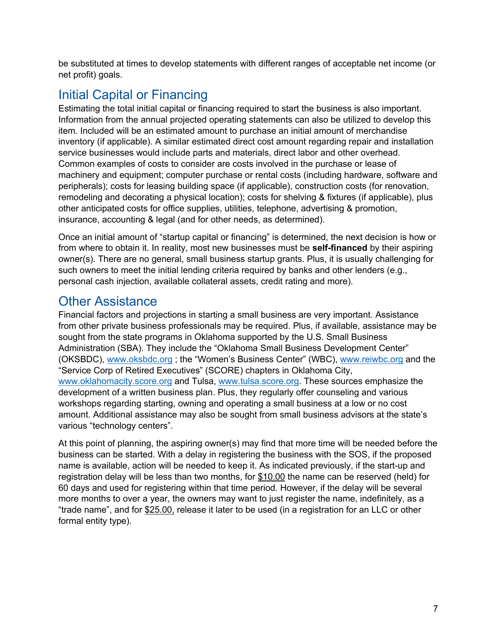be substituted at times to develop statements with different ranges of acceptable net income (or net profit) goals.

#### Initial Capital or Financing

Estimating the total initial capital or financing required to start the business is also important. Information from the annual projected operating statements can also be utilized to develop this item. Included will be an estimated amount to purchase an initial amount of merchandise inventory (if applicable). A similar estimated direct cost amount regarding repair and installation service businesses would include parts and materials, direct labor and other overhead. Common examples of costs to consider are costs involved in the purchase or lease of machinery and equipment; computer purchase or rental costs (including hardware, software and peripherals); costs for leasing building space (if applicable), construction costs (for renovation, remodeling and decorating a physical location); costs for shelving & fixtures (if applicable), plus other anticipated costs for office supplies, utilities, telephone, advertising & promotion, insurance, accounting & legal (and for other needs, as determined).

Once an initial amount of "startup capital or financing" is determined, the next decision is how or from where to obtain it. In reality, most new businesses must be **self-financed** by their aspiring owner(s). There are no general, small business startup grants. Plus, it is usually challenging for such owners to meet the initial lending criteria required by banks and other lenders (e.g., personal cash injection, available collateral assets, credit rating and more).

#### Other Assistance

Financial factors and projections in starting a small business are very important. Assistance from other private business professionals may be required. Plus, if available, assistance may be sought from the state programs in Oklahoma supported by the U.S. Small Business Administration (SBA). They include the "Oklahoma Small Business Development Center" (OKSBDC), www.oksbdc.org ; the "Women's Business Center" (WBC), www.reiwbc.org and the "Service Corp of Retired Executives" (SCORE) chapters in Oklahoma City, www.oklahomacity.score.org and Tulsa, www.tulsa.score.org. These sources emphasize the development of a written business plan. Plus, they regularly offer counseling and various workshops regarding starting, owning and operating a small business at a low or no cost amount. Additional assistance may also be sought from small business advisors at the state's various "technology centers".

At this point of planning, the aspiring owner(s) may find that more time will be needed before the business can be started. With a delay in registering the business with the SOS, if the proposed name is available, action will be needed to keep it. As indicated previously, if the start-up and registration delay will be less than two months, for \$10.00 the name can be reserved (held) for 60 days and used for registering within that time period. However, if the delay will be several more months to over a year, the owners may want to just register the name, indefinitely, as a "trade name", and for \$25.00, release it later to be used (in a registration for an LLC or other formal entity type).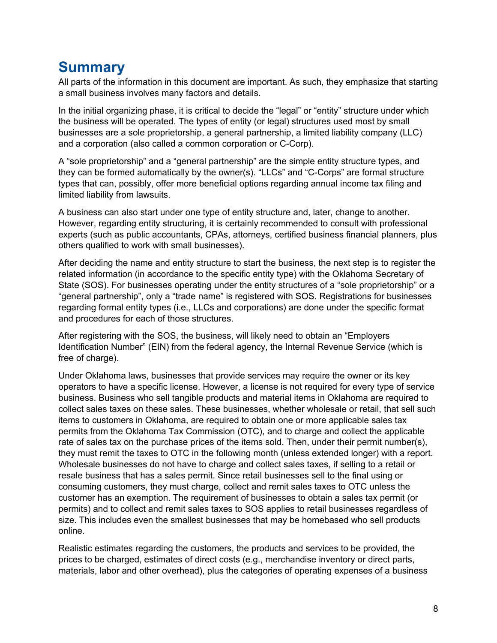## **Summary**

All parts of the information in this document are important. As such, they emphasize that starting a small business involves many factors and details.

In the initial organizing phase, it is critical to decide the "legal" or "entity" structure under which the business will be operated. The types of entity (or legal) structures used most by small businesses are a sole proprietorship, a general partnership, a limited liability company (LLC) and a corporation (also called a common corporation or C-Corp).

A "sole proprietorship" and a "general partnership" are the simple entity structure types, and they can be formed automatically by the owner(s). "LLCs" and "C-Corps" are formal structure types that can, possibly, offer more beneficial options regarding annual income tax filing and limited liability from lawsuits.

A business can also start under one type of entity structure and, later, change to another. However, regarding entity structuring, it is certainly recommended to consult with professional experts (such as public accountants, CPAs, attorneys, certified business financial planners, plus others qualified to work with small businesses).

After deciding the name and entity structure to start the business, the next step is to register the related information (in accordance to the specific entity type) with the Oklahoma Secretary of State (SOS). For businesses operating under the entity structures of a "sole proprietorship" or a "general partnership", only a "trade name" is registered with SOS. Registrations for businesses regarding formal entity types (i.e., LLCs and corporations) are done under the specific format and procedures for each of those structures.

After registering with the SOS, the business, will likely need to obtain an "Employers Identification Number" (EIN) from the federal agency, the Internal Revenue Service (which is free of charge).

Under Oklahoma laws, businesses that provide services may require the owner or its key operators to have a specific license. However, a license is not required for every type of service business. Business who sell tangible products and material items in Oklahoma are required to collect sales taxes on these sales. These businesses, whether wholesale or retail, that sell such items to customers in Oklahoma, are required to obtain one or more applicable sales tax permits from the Oklahoma Tax Commission (OTC), and to charge and collect the applicable rate of sales tax on the purchase prices of the items sold. Then, under their permit number(s), they must remit the taxes to OTC in the following month (unless extended longer) with a report. Wholesale businesses do not have to charge and collect sales taxes, if selling to a retail or resale business that has a sales permit. Since retail businesses sell to the final using or consuming customers, they must charge, collect and remit sales taxes to OTC unless the customer has an exemption. The requirement of businesses to obtain a sales tax permit (or permits) and to collect and remit sales taxes to SOS applies to retail businesses regardless of size. This includes even the smallest businesses that may be homebased who sell products online.

Realistic estimates regarding the customers, the products and services to be provided, the prices to be charged, estimates of direct costs (e.g., merchandise inventory or direct parts, materials, labor and other overhead), plus the categories of operating expenses of a business